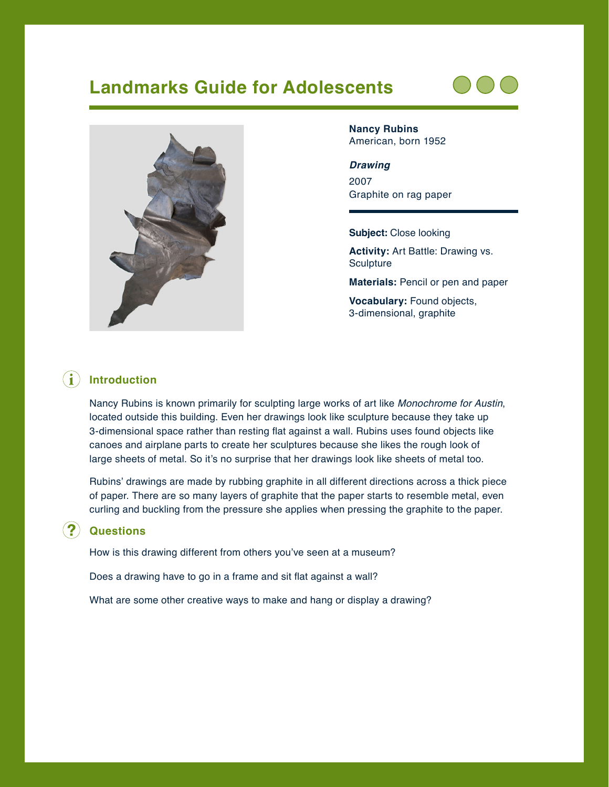# **Landmarks Guide for Adolescents**





**Nancy Rubins**  American, born 1952

### *Drawing* 2007 Graphite on rag paper

**Subject:** Close looking

**Activity:** Art Battle: Drawing vs. **Sculpture** 

**Materials:** Pencil or pen and paper

**Vocabulary:** Found objects, 3-dimensional, graphite

## **Introduction**

Nancy Rubins is known primarily for sculpting large works of art like *Monochrome for Austin*, located outside this building. Even her drawings look like sculpture because they take up 3-dimensional space rather than resting fat against a wall. Rubins uses found objects like canoes and airplane parts to create her sculptures because she likes the rough look of large sheets of metal. So it's no surprise that her drawings look like sheets of metal too.

Rubins' drawings are made by rubbing graphite in all different directions across a thick piece of paper. There are so many layers of graphite that the paper starts to resemble metal, even curling and buckling from the pressure she applies when pressing the graphite to the paper.

### **Questions**

How is this drawing different from others you've seen at a museum?

Does a drawing have to go in a frame and sit flat against a wall?

What are some other creative ways to make and hang or display a drawing?